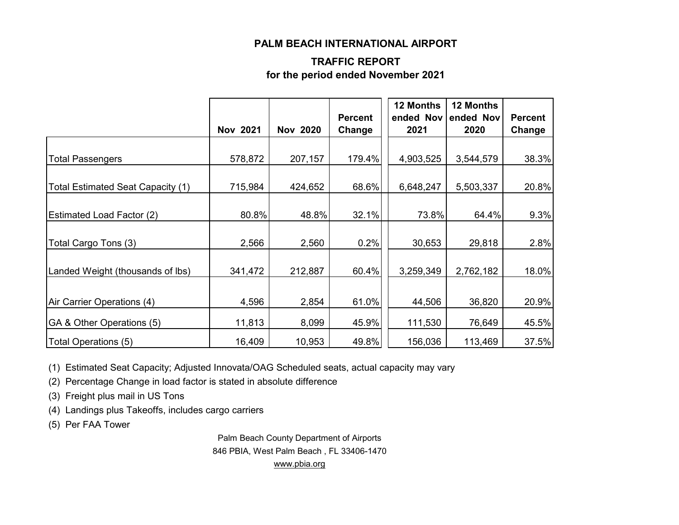#### **PALM BEACH INTERNATIONAL AIRPORT**

#### **TRAFFIC REPORT for the period ended November 2021**

|                                   | <b>Nov 2021</b> | <b>Nov 2020</b> | <b>Percent</b><br>Change | 12 Months<br>2021 | 12 Months<br>ended Nov ended Nov<br>2020 | <b>Percent</b><br>Change |
|-----------------------------------|-----------------|-----------------|--------------------------|-------------------|------------------------------------------|--------------------------|
|                                   |                 |                 |                          |                   |                                          |                          |
| <b>Total Passengers</b>           | 578,872         | 207,157         | 179.4%                   | 4,903,525         | 3,544,579                                | 38.3%                    |
| Total Estimated Seat Capacity (1) | 715,984         | 424,652         | 68.6%                    | 6,648,247         | 5,503,337                                | 20.8%                    |
|                                   |                 |                 |                          |                   |                                          |                          |
| <b>Estimated Load Factor (2)</b>  | 80.8%           | 48.8%           | 32.1%                    | 73.8%             | 64.4%                                    | 9.3%                     |
| Total Cargo Tons (3)              | 2,566           | 2,560           | 0.2%                     | 30,653            | 29,818                                   | 2.8%                     |
| Landed Weight (thousands of lbs)  | 341,472         | 212,887         | 60.4%                    | 3,259,349         | 2,762,182                                | 18.0%                    |
|                                   |                 |                 |                          |                   |                                          |                          |
| Air Carrier Operations (4)        | 4,596           | 2,854           | 61.0%                    | 44,506            | 36,820                                   | 20.9%                    |
| GA & Other Operations (5)         | 11,813          | 8,099           | 45.9%                    | 111,530           | 76,649                                   | 45.5%                    |
| Total Operations (5)              | 16,409          | 10,953          | 49.8%                    | 156,036           | 113,469                                  | 37.5%                    |

(1) Estimated Seat Capacity; Adjusted Innovata/OAG Scheduled seats, actual capacity may vary

(2) Percentage Change in load factor is stated in absolute difference

(3) Freight plus mail in US Tons

(4) Landings plus Takeoffs, includes cargo carriers

(5) Per FAA Tower

Palm Beach County Department of Airports 846 PBIA, West Palm Beach , FL 33406-1470 [www.pbia.org](http://www.pbia.org/)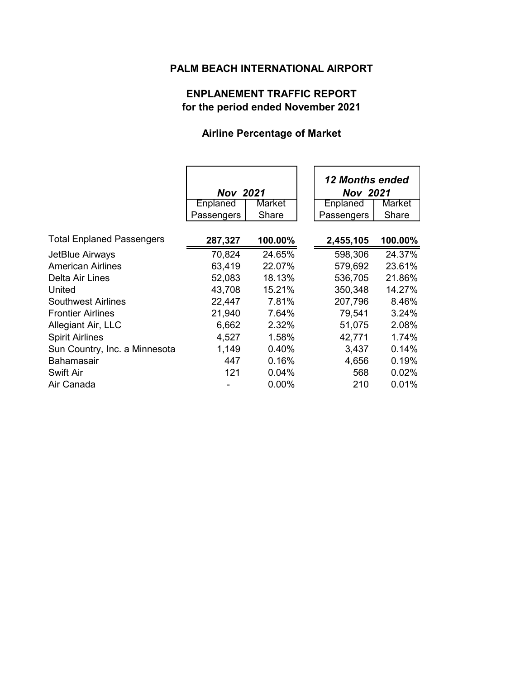### **PALM BEACH INTERNATIONAL AIRPORT**

# **ENPLANEMENT TRAFFIC REPORT for the period ended November 2021**

# **Airline Percentage of Market**

|                                  | <b>Nov 2021</b> |         | <b>12 Months ended</b><br><b>Nov 2021</b> |         |
|----------------------------------|-----------------|---------|-------------------------------------------|---------|
|                                  | Enplaned        | Market  | Enplaned                                  | Market  |
|                                  | Passengers      | Share   | Passengers                                | Share   |
| <b>Total Enplaned Passengers</b> | 287,327         | 100.00% | 2,455,105                                 | 100.00% |
| JetBlue Airways                  | 70,824          | 24.65%  | 598,306                                   | 24.37%  |
| <b>American Airlines</b>         | 63,419          | 22.07%  | 579,692                                   | 23.61%  |
| Delta Air Lines                  | 52,083          | 18.13%  | 536,705                                   | 21.86%  |
| United                           | 43,708          | 15.21%  | 350,348                                   | 14.27%  |
| Southwest Airlines               | 22,447          | 7.81%   | 207,796                                   | 8.46%   |
| <b>Frontier Airlines</b>         | 21,940          | 7.64%   | 79,541                                    | 3.24%   |
| Allegiant Air, LLC               | 6,662           | 2.32%   | 51,075                                    | 2.08%   |
| <b>Spirit Airlines</b>           | 4,527           | 1.58%   | 42,771                                    | 1.74%   |
| Sun Country, Inc. a Minnesota    | 1,149           | 0.40%   | 3,437                                     | 0.14%   |
| <b>Bahamasair</b>                | 447             | 0.16%   | 4,656                                     | 0.19%   |
| Swift Air                        | 121             | 0.04%   | 568                                       | 0.02%   |
| Air Canada                       |                 | 0.00%   | 210                                       | 0.01%   |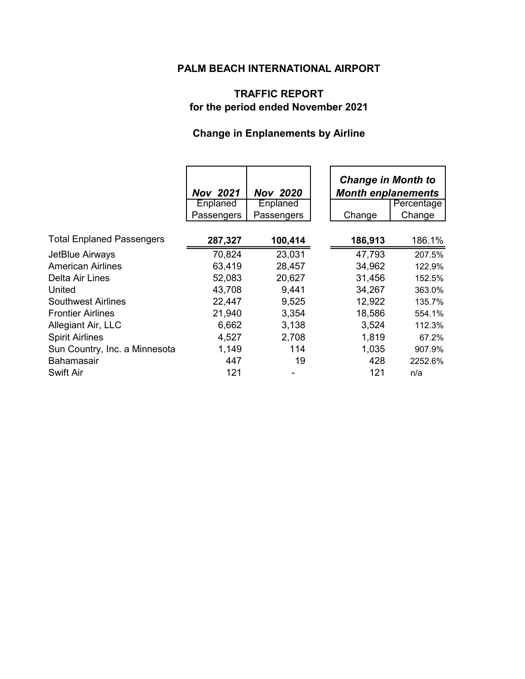# **PALM BEACH INTERNATIONAL AIRPORT**

# **TRAFFIC REPORT for the period ended November 2021**

# **Change in Enplanements by Airline**

|                                  | <b>Nov 2021</b>        | <b>Nov 2020</b>        | <b>Change in Month to</b><br><b>Month enplanements</b> |                      |
|----------------------------------|------------------------|------------------------|--------------------------------------------------------|----------------------|
|                                  | Enplaned<br>Passengers | Enplaned<br>Passengers | Change                                                 | Percentage<br>Change |
|                                  |                        |                        |                                                        |                      |
| <b>Total Enplaned Passengers</b> | 287,327                | 100,414                | 186,913                                                | 186.1%               |
| JetBlue Airways                  | 70,824                 | 23,031                 | 47,793                                                 | 207.5%               |
| <b>American Airlines</b>         | 63,419                 | 28,457                 | 34,962                                                 | 122.9%               |
| Delta Air Lines                  | 52,083                 | 20,627                 | 31,456                                                 | 152.5%               |
| United                           | 43,708                 | 9,441                  | 34,267                                                 | 363.0%               |
| <b>Southwest Airlines</b>        | 22,447                 | 9,525                  | 12,922                                                 | 135.7%               |
| <b>Frontier Airlines</b>         | 21,940                 | 3,354                  | 18,586                                                 | 554.1%               |
| Allegiant Air, LLC               | 6,662                  | 3,138                  | 3,524                                                  | 112.3%               |
| <b>Spirit Airlines</b>           | 4,527                  | 2,708                  | 1,819                                                  | 67.2%                |
| Sun Country, Inc. a Minnesota    | 1,149                  | 114                    | 1,035                                                  | 907.9%               |
| <b>Bahamasair</b>                | 447                    | 19                     | 428                                                    | 2252.6%              |
| Swift Air                        | 121                    |                        | 121                                                    | n/a                  |